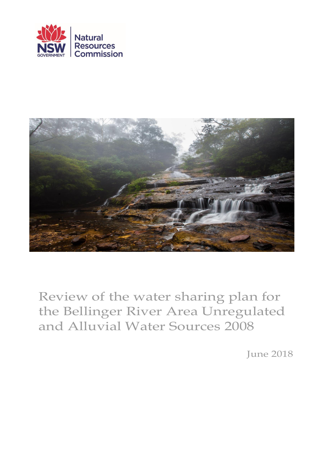



Review of the water sharing plan for the Bellinger River Area Unregulated and Alluvial Water Sources 2008

June 2018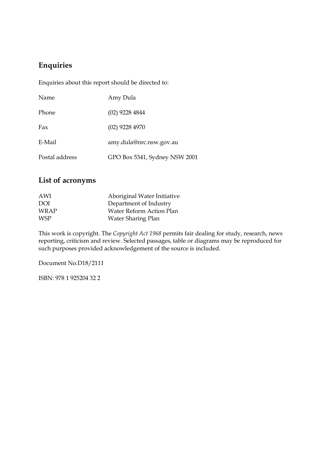### **Enquiries**

Enquiries about this report should be directed to:

| Name           | Amy Dula                      |
|----------------|-------------------------------|
| Phone          | $(02)$ 9228 4844              |
| Fax            | $(02)$ 9228 4970              |
| E-Mail         | amy.dula@nrc.nsw.gov.au       |
| Postal address | GPO Box 5341, Sydney NSW 2001 |

### **List of acronyms**

| AWI         | Aboriginal Water Initiative |
|-------------|-----------------------------|
| DOI         | Department of Industry      |
| <b>WRAP</b> | Water Reform Action Plan    |
| <b>WSP</b>  | Water Sharing Plan          |

This work is copyright. The *Copyright Act 1968* permits fair dealing for study, research, news reporting, criticism and review. Selected passages, table or diagrams may be reproduced for such purposes provided acknowledgement of the source is included.

Document No.D18/2111

ISBN: 978 1 925204 32 2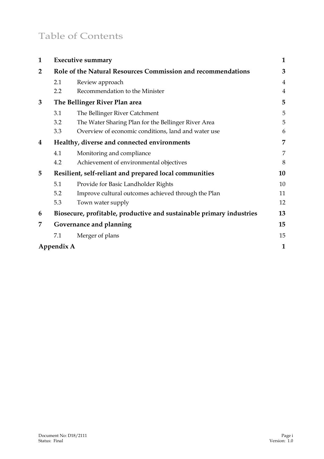# Table of Contents

| $\mathbf{1}$ |                                                              | <b>Executive summary</b>                                             | 1              |
|--------------|--------------------------------------------------------------|----------------------------------------------------------------------|----------------|
| 2            | Role of the Natural Resources Commission and recommendations |                                                                      | 3              |
|              | 2.1                                                          | Review approach                                                      | $\overline{4}$ |
|              | 2.2                                                          | Recommendation to the Minister                                       | 4              |
| 3            | The Bellinger River Plan area                                |                                                                      | 5              |
|              | 3.1                                                          | The Bellinger River Catchment                                        | 5              |
|              | 3.2                                                          | The Water Sharing Plan for the Bellinger River Area                  | 5              |
|              | 3.3                                                          | Overview of economic conditions, land and water use                  | 6              |
| 4            | Healthy, diverse and connected environments                  |                                                                      | 7              |
|              | 4.1                                                          | Monitoring and compliance                                            | 7              |
|              | 4.2                                                          | Achievement of environmental objectives                              | 8              |
| 5            | Resilient, self-reliant and prepared local communities       |                                                                      | 10             |
|              | 5.1                                                          | Provide for Basic Landholder Rights                                  | 10             |
|              | 5.2                                                          | Improve cultural outcomes achieved through the Plan                  | 11             |
|              | 5.3                                                          | Town water supply                                                    | 12             |
| 6            |                                                              | Biosecure, profitable, productive and sustainable primary industries | 13             |
| 7            |                                                              | Governance and planning                                              | 15             |
|              | 7.1                                                          | Merger of plans                                                      | 15             |
|              | Appendix A                                                   |                                                                      | $\mathbf{1}$   |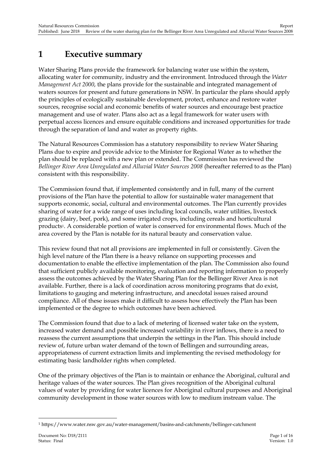## <span id="page-3-0"></span>**1 Executive summary**

Water Sharing Plans provide the framework for balancing water use within the system, allocating water for community, industry and the environment. Introduced through the *Water Management Act 2000*, the plans provide for the sustainable and integrated management of waters sources for present and future generations in NSW. In particular the plans should apply the principles of ecologically sustainable development, protect, enhance and restore water sources, recognise social and economic benefits of water sources and encourage best practice management and use of water. Plans also act as a legal framework for water users with perpetual access licences and ensure equitable conditions and increased opportunities for trade through the separation of land and water as property rights.

The Natural Resources Commission has a statutory responsibility to review Water Sharing Plans due to expire and provide advice to the Minister for Regional Water as to whether the plan should be replaced with a new plan or extended. The Commission has reviewed the *Bellinger River Area Unregulated and Alluvial Water Sources 2008* (hereafter referred to as the Plan) consistent with this responsibility.

The Commission found that, if implemented consistently and in full, many of the current provisions of the Plan have the potential to allow for sustainable water management that supports economic, social, cultural and environmental outcomes. The Plan currently provides sharing of water for a wide range of uses including local councils, water utilities, livestock grazing (dairy, beef, pork), and some irrigated crops, including cereals and horticultural products1. A considerable portion of water is conserved for environmental flows. Much of the area covered by the Plan is notable for its natural beauty and conservation value.

This review found that not all provisions are implemented in full or consistently. Given the high level nature of the Plan there is a heavy reliance on supporting processes and documentation to enable the effective implementation of the plan. The Commission also found that sufficient publicly available monitoring, evaluation and reporting information to properly assess the outcomes achieved by the Water Sharing Plan for the Bellinger River Area is not available. Further, there is a lack of coordination across monitoring programs that do exist, limitations to gauging and metering infrastructure, and anecdotal issues raised around compliance. All of these issues make it difficult to assess how effectively the Plan has been implemented or the degree to which outcomes have been achieved.

The Commission found that due to a lack of metering of licensed water take on the system, increased water demand and possible increased variability in river inflows, there is a need to reassess the current assumptions that underpin the settings in the Plan. This should include review of, future urban water demand of the town of Bellingen and surrounding areas, appropriateness of current extraction limits and implementing the revised methodology for estimating basic landholder rights when completed.

One of the primary objectives of the Plan is to maintain or enhance the Aboriginal, cultural and heritage values of the water sources. The Plan gives recognition of the Aboriginal cultural values of water by providing for water licences for Aboriginal cultural purposes and Aboriginal community development in those water sources with low to medium instream value. The

<sup>-</sup><sup>1</sup> https://www.water.nsw.gov.au/water-management/basins-and-catchments/bellinger-catchment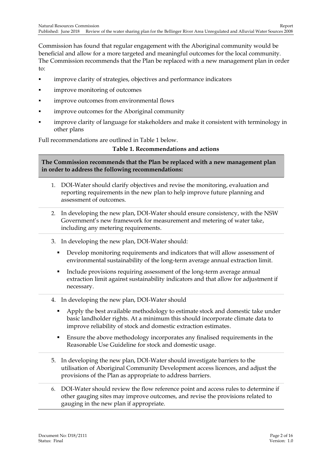Commission has found that regular engagement with the Aboriginal community would be beneficial and allow for a more targeted and meaningful outcomes for the local community. The Commission recommends that the Plan be replaced with a new management plan in order to:

- **EXECUTE:** improve clarity of strategies, objectives and performance indicators
- **improve monitoring of outcomes**
- **improve outcomes from environmental flows**
- **improve outcomes for the Aboriginal community**
- improve clarity of language for stakeholders and make it consistent with terminology in other plans

Full recommendations are outlined in Table 1 below.

#### **Table 1. Recommendations and actions**

**The Commission recommends that the Plan be replaced with a new management plan in order to address the following recommendations:**

- 1. DOI-Water should clarify objectives and revise the monitoring, evaluation and reporting requirements in the new plan to help improve future planning and assessment of outcomes.
- 2. In developing the new plan, DOI-Water should ensure consistency, with the NSW Government's new framework for measurement and metering of water take, including any metering requirements.
- 3. In developing the new plan, DOI-Water should:
	- Develop monitoring requirements and indicators that will allow assessment of environmental sustainability of the long-term average annual extraction limit.
	- Include provisions requiring assessment of the long-term average annual extraction limit against sustainability indicators and that allow for adjustment if necessary.
- 4. In developing the new plan, DOI-Water should
	- Apply the best available methodology to estimate stock and domestic take under basic landholder rights. At a minimum this should incorporate climate data to improve reliability of stock and domestic extraction estimates.
	- Ensure the above methodology incorporates any finalised requirements in the Reasonable Use Guideline for stock and domestic usage.
- 5. In developing the new plan, DOI-Water should investigate barriers to the utilisation of Aboriginal Community Development access licences, and adjust the provisions of the Plan as appropriate to address barriers.
- 6. DOI-Water should review the flow reference point and access rules to determine if other gauging sites may improve outcomes, and revise the provisions related to gauging in the new plan if appropriate.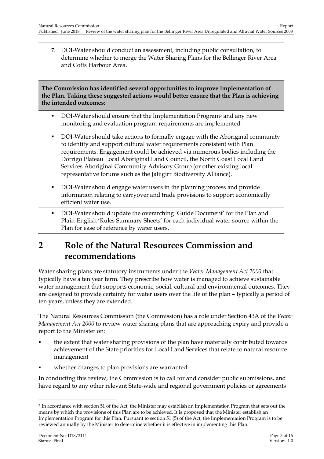7. DOI-Water should conduct an assessment, including public consultation, to determine whether to merge the Water Sharing Plans for the Bellinger River Area and Coffs Harbour Area.

**The Commission has identified several opportunities to improve implementation of the Plan. Taking these suggested actions would better ensure that the Plan is achieving the intended outcomes:**

- DOI-Water should ensure that the Implementation Program<sup>2</sup> and any new monitoring and evaluation program requirements are implemented.
- DOI-Water should take actions to formally engage with the Aboriginal community to identify and support cultural water requirements consistent with Plan requirements. Engagement could be achieved via numerous bodies including the Dorrigo Plateau Local Aboriginal Land Council, the North Coast Local Land Services Aboriginal Community Advisory Group (or other existing local representative forums such as the Jaliigirr Biodiversity Alliance).
- DOI-Water should engage water users in the planning process and provide information relating to carryover and trade provisions to support economically efficient water use.
- DOI-Water should update the overarching 'Guide Document' for the Plan and Plain-English 'Rules Summary Sheets' for each individual water source within the Plan for ease of reference by water users.

## <span id="page-5-0"></span>**2 Role of the Natural Resources Commission and recommendations**

Water sharing plans are statutory instruments under the *Water Management Act 2000* that typically have a ten year term. They prescribe how water is managed to achieve sustainable water management that supports economic, social, cultural and environmental outcomes. They are designed to provide certainty for water users over the life of the plan – typically a period of ten years, unless they are extended.

The Natural Resources Commission (the Commission) has a role under Section 43A of the *Water Management Act 2000* to review water sharing plans that are approaching expiry and provide a report to the Minister on:

- the extent that water sharing provisions of the plan have materially contributed towards achievement of the State priorities for Local Land Services that relate to natural resource management
- whether changes to plan provisions are warranted.

In conducting this review, the Commission is to call for and consider public submissions, and have regard to any other relevant State-wide and regional government policies or agreements

<sup>2</sup> In accordance with section 51 of the Act, the Minister may establish an Implementation Program that sets out the means by which the provisions of this Plan are to be achieved. It is proposed that the Minister establish an Implementation Program for this Plan. Pursuant to section 51 (5) of the Act, the Implementation Program is to be reviewed annually by the Minister to determine whether it is effective in implementing this Plan.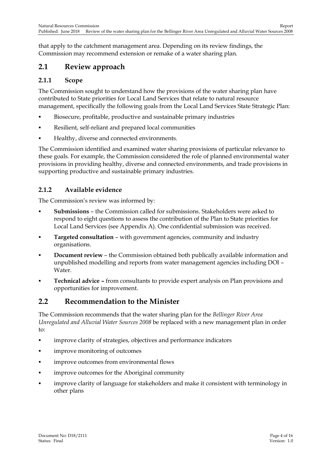that apply to the catchment management area. Depending on its review findings, the Commission may recommend extension or remake of a water sharing plan.

### <span id="page-6-0"></span>**2.1 Review approach**

#### **2.1.1 Scope**

The Commission sought to understand how the provisions of the water sharing plan have contributed to State priorities for Local Land Services that relate to natural resource management, specifically the following goals from the Local Land Services State Strategic Plan:

- Biosecure, profitable, productive and sustainable primary industries
- Resilient, self-reliant and prepared local communities
- Healthy, diverse and connected environments.

The Commission identified and examined water sharing provisions of particular relevance to these goals. For example, the Commission considered the role of planned environmental water provisions in providing healthy, diverse and connected environments, and trade provisions in supporting productive and sustainable primary industries.

### **2.1.2 Available evidence**

The Commission's review was informed by:

- **Submissions** the Commission called for submissions. Stakeholders were asked to respond to eight questions to assess the contribution of the Plan to State priorities for Local Land Services (see Appendix A). One confidential submission was received.
- **Targeted consultation** with government agencies, community and industry organisations.
- **Document review** the Commission obtained both publically available information and unpublished modelling and reports from water management agencies including DOI – Water.
- **Technical advice –** from consultants to provide expert analysis on Plan provisions and opportunities for improvement.

### <span id="page-6-1"></span>**2.2 Recommendation to the Minister**

The Commission recommends that the water sharing plan for the *Bellinger River Area Unregulated and Alluvial Water Sources 2008* be replaced with a new management plan in order to:

- **Example 1** improve clarity of strategies, objectives and performance indicators
- **improve monitoring of outcomes**
- **improve outcomes from environmental flows**
- **improve outcomes for the Aboriginal community**
- **EXECT** improve clarity of language for stakeholders and make it consistent with terminology in other plans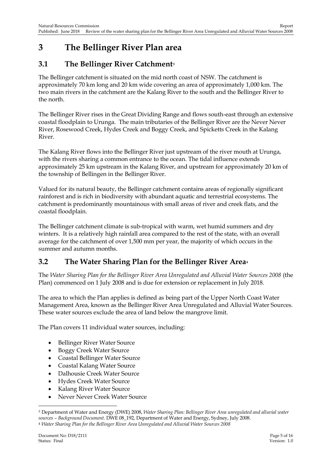## <span id="page-7-0"></span>**3 The Bellinger River Plan area**

### <span id="page-7-1"></span>**3.1 The Bellinger River Catchment<sup>3</sup>**

The Bellinger catchment is situated on the mid north coast of NSW. The catchment is approximately 70 km long and 20 km wide covering an area of approximately 1,000 km. The two main rivers in the catchment are the Kalang River to the south and the Bellinger River to the north.

The Bellinger River rises in the Great Dividing Range and flows south-east through an extensive coastal floodplain to Urunga. The main tributaries of the Bellinger River are the Never Never River, Rosewood Creek, Hydes Creek and Boggy Creek, and Spicketts Creek in the Kalang River.

The Kalang River flows into the Bellinger River just upstream of the river mouth at Urunga, with the rivers sharing a common entrance to the ocean. The tidal influence extends approximately 25 km upstream in the Kalang River, and upstream for approximately 20 km of the township of Bellingen in the Bellinger River.

Valued for its natural beauty, the Bellinger catchment contains areas of regionally significant rainforest and is rich in biodiversity with abundant aquatic and terrestrial ecosystems. The catchment is predominantly mountainous with small areas of river and creek flats, and the coastal floodplain.

The Bellinger catchment climate is sub-tropical with warm, wet humid summers and dry winters. It is a relatively high rainfall area compared to the rest of the state, with an overall average for the catchment of over 1,500 mm per year, the majority of which occurs in the summer and autumn months.

## <span id="page-7-2"></span>**3.2 The Water Sharing Plan for the Bellinger River Area<sup>4</sup>**

The *Water Sharing Plan for the Bellinger River Area Unregulated and Alluvial Water Sources 2008* (the Plan) commenced on 1 July 2008 and is due for extension or replacement in July 2018.

The area to which the Plan applies is defined as being part of the Upper North Coast Water Management Area, known as the Bellinger River Area Unregulated and Alluvial Water Sources. These water sources exclude the area of land below the mangrove limit.

The Plan covers 11 individual water sources, including:

- Bellinger River Water Source
- Boggy Creek Water Source
- Coastal Bellinger Water Source
- Coastal Kalang Water Source
- Dalhousie Creek Water Source
- Hydes Creek Water Source
- Kalang River Water Source
- Never Never Creek Water Source

<sup>3</sup> Department of Water and Energy (DWE) 2008, *Water Sharing Plan: Bellinger River Area unregulated and alluvial water sources – Background Document*. DWE 08\_192, Department of Water and Energy, Sydney, July 2008. <sup>4</sup> *Water Sharing Plan for the Bellinger River Area Unregulated and Alluvial Water Sources 2008*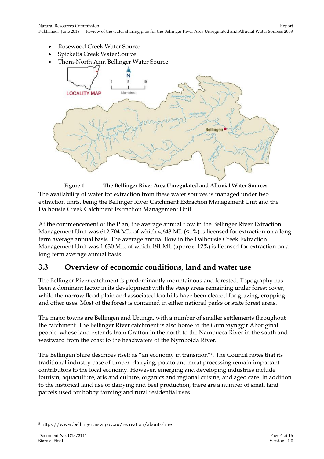- Rosewood Creek Water Source
- Spicketts Creek Water Source
- Thora-North Arm Bellinger Water Source



**Figure 1 The Bellinger River Area Unregulated and Alluvial Water Sources** The availability of water for extraction from these water sources is managed under two extraction units, being the Bellinger River Catchment Extraction Management Unit and the Dalhousie Creek Catchment Extraction Management Unit.

At the commencement of the Plan, the average annual flow in the Bellinger River Extraction Management Unit was 612,704 ML, of which 4,643 ML (<1%) is licensed for extraction on a long term average annual basis. The average annual flow in the Dalhousie Creek Extraction Management Unit was 1,630 ML, of which 191 ML (approx. 12%) is licensed for extraction on a long term average annual basis.

### <span id="page-8-0"></span>**3.3 Overview of economic conditions, land and water use**

The Bellinger River catchment is predominantly mountainous and forested. Topography has been a dominant factor in its development with the steep areas remaining under forest cover, while the narrow flood plain and associated foothills have been cleared for grazing, cropping and other uses. Most of the forest is contained in either national parks or state forest areas.

The major towns are Bellingen and Urunga, with a number of smaller settlements throughout the catchment. The Bellinger River catchment is also home to the Gumbaynggir Aboriginal people, whose land extends from Grafton in the north to the Nambucca River in the south and westward from the coast to the headwaters of the Nymboida River.

The Bellingen Shire describes itself as "an economy in transition"<sup>5</sup>. The Council notes that its traditional industry base of timber, dairying, potato and meat processing remain important contributors to the local economy. However, emerging and developing industries include tourism, aquaculture, arts and culture, organics and regional cuisine, and aged care. In addition to the historical land use of dairying and beef production, there are a number of small land parcels used for hobby farming and rural residential uses.

-

<sup>5</sup> https://www.bellingen.nsw.gov.au/recreation/about-shire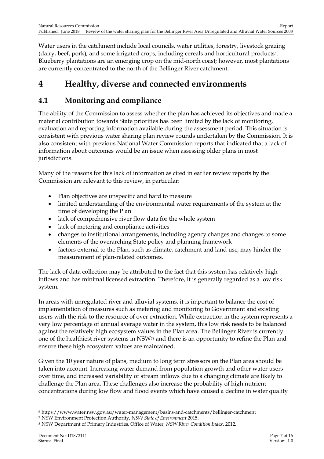Water users in the catchment include local councils, water utilities, forestry, livestock grazing (dairy, beef, pork), and some irrigated crops, including cereals and horticultural products<sup>6</sup>. Blueberry plantations are an emerging crop on the mid-north coast; however, most plantations are currently concentrated to the north of the Bellinger River catchment.

## <span id="page-9-0"></span>**4 Healthy, diverse and connected environments**

## <span id="page-9-1"></span>**4.1 Monitoring and compliance**

The ability of the Commission to assess whether the plan has achieved its objectives and made a material contribution towards State priorities has been limited by the lack of monitoring, evaluation and reporting information available during the assessment period. This situation is consistent with previous water sharing plan review rounds undertaken by the Commission. It is also consistent with previous National Water Commission reports that indicated that a lack of information about outcomes would be an issue when assessing older plans in most jurisdictions.

Many of the reasons for this lack of information as cited in earlier review reports by the Commission are relevant to this review, in particular:

- Plan objectives are unspecific and hard to measure
- limited understanding of the environmental water requirements of the system at the time of developing the Plan
- lack of comprehensive river flow data for the whole system
- lack of metering and compliance activities
- changes to institutional arrangements, including agency changes and changes to some elements of the overarching State policy and planning framework
- factors external to the Plan, such as climate, catchment and land use, may hinder the measurement of plan-related outcomes.

The lack of data collection may be attributed to the fact that this system has relatively high inflows and has minimal licensed extraction. Therefore, it is generally regarded as a low risk system.

In areas with unregulated river and alluvial systems, it is important to balance the cost of implementation of measures such as metering and monitoring to Government and existing users with the risk to the resource of over extraction. While extraction in the system represents a very low percentage of annual average water in the system, this low risk needs to be balanced against the relatively high ecosystem values in the Plan area. The Bellinger River is currently one of the healthiest river systems in NSW<sup>78</sup> and there is an opportunity to refine the Plan and ensure these high ecosystem values are maintained.

Given the 10 year nature of plans, medium to long term stressors on the Plan area should be taken into account. Increasing water demand from population growth and other water users over time, and increased variability of stream inflows due to a changing climate are likely to challenge the Plan area. These challenges also increase the probability of high nutrient concentrations during low flow and flood events which have caused a decline in water quality

<sup>6</sup> https://www.water.nsw.gov.au/water-management/basins-and-catchments/bellinger-catchment

<sup>7</sup> NSW Environment Protection Authority, *NSW State of Environment* 2015.

<sup>8</sup> NSW Department of Primary Industries, Office of Water, *NSW River Condition Index*, 2012.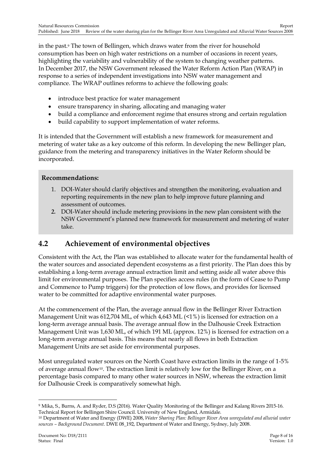in the past.<sup>9</sup> The town of Bellingen, which draws water from the river for household consumption has been on high water restrictions on a number of occasions in recent years, highlighting the variability and vulnerability of the system to changing weather patterns. In December 2017, the NSW Government released the Water Reform Action Plan (WRAP) in response to a series of independent investigations into NSW water management and compliance. The WRAP outlines reforms to achieve the following goals:

- introduce best practice for water management
- ensure transparency in sharing, allocating and managing water
- build a compliance and enforcement regime that ensures strong and certain regulation
- build capability to support implementation of water reforms.

It is intended that the Government will establish a new framework for measurement and metering of water take as a key outcome of this reform. In developing the new Bellinger plan, guidance from the metering and transparency initiatives in the Water Reform should be incorporated.

#### **Recommendations:**

- 1. DOI-Water should clarify objectives and strengthen the monitoring, evaluation and reporting requirements in the new plan to help improve future planning and assessment of outcomes.
- *2.* DOI-Water should include metering provisions in the new plan consistent with the NSW Government's planned new framework for measurement and metering of water take.

### <span id="page-10-0"></span>**4.2 Achievement of environmental objectives**

Consistent with the Act, the Plan was established to allocate water for the fundamental health of the water sources and associated dependent ecosystems as a first priority. The Plan does this by establishing a long-term average annual extraction limit and setting aside all water above this limit for environmental purposes. The Plan specifies access rules (in the form of Cease to Pump and Commence to Pump triggers) for the protection of low flows, and provides for licensed water to be committed for adaptive environmental water purposes.

At the commencement of the Plan, the average annual flow in the Bellinger River Extraction Management Unit was 612,704 ML, of which 4,643 ML  $(1\%)$  is licensed for extraction on a long-term average annual basis. The average annual flow in the Dalhousie Creek Extraction Management Unit was 1,630 ML, of which 191 ML (approx. 12%) is licensed for extraction on a long-term average annual basis. This means that nearly all flows in both Extraction Management Units are set aside for environmental purposes.

Most unregulated water sources on the North Coast have extraction limits in the range of 1-5% of average annual flow10. The extraction limit is relatively low for the Bellinger River, on a percentage basis compared to many other water sources in NSW, whereas the extraction limit for Dalhousie Creek is comparatively somewhat high.

<sup>9</sup> Mika, S., Burns, A. and Ryder, D.S (2016). Water Quality Monitoring of the Bellinger and Kalang Rivers 2015-16. Technical Report for Bellingen Shire Council. University of New England, Armidale.

<sup>10</sup> Department of Water and Energy (DWE) 2008, *Water Sharing Plan: Bellinger River Area unregulated and alluvial water sources – Background Document*. DWE 08\_192, Department of Water and Energy, Sydney, July 2008.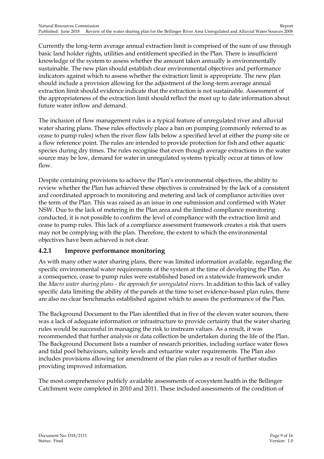Currently the long-term average annual extraction limit is comprised of the sum of use through basic land holder rights, utilities and entitlement specified in the Plan. There is insufficient knowledge of the system to assess whether the amount taken annually is environmentally sustainable. The new plan should establish clear environmental objectives and performance indicators against which to assess whether the extraction limit is appropriate. The new plan should include a provision allowing for the adjustment of the long-term average annual extraction limit should evidence indicate that the extraction is not sustainable. Assessment of the appropriateness of the extraction limit should reflect the most up to date information about future water inflow and demand.

The inclusion of flow management rules is a typical feature of unregulated river and alluvial water sharing plans. These rules effectively place a ban on pumping (commonly referred to as cease to pump rules) when the river flow falls below a specified level at either the pump site or a flow reference point. The rules are intended to provide protection for fish and other aquatic species during dry times. The rules recognise that even though average extractions in the water source may be low, demand for water in unregulated systems typically occur at times of low flow.

Despite containing provisions to achieve the Plan's environmental objectives, the ability to review whether the Plan has achieved these objectives is constrained by the lack of a consistent and coordinated approach to monitoring and metering and lack of compliance activities over the term of the Plan. This was raised as an issue in one submission and confirmed with Water NSW. Due to the lack of metering in the Plan area and the limited compliance monitoring conducted, it is not possible to confirm the level of compliance with the extraction limit and cease to pump rules. This lack of a compliance assessment framework creates a risk that users may not be complying with the plan. Therefore, the extent to which the environmental objectives have been achieved is not clear.

#### **4.2.1 Improve performance monitoring**

As with many other water sharing plans, there was limited information available, regarding the specific environmental water requirements of the system at the time of developing the Plan. As a consequence, cease to pump rules were established based on a statewide framework under the *Macro water sharing plans - the approach for unregulated rivers*. In addition to this lack of valley specific data limiting the ability of the panels at the time to set evidence-based plan rules, there are also no clear benchmarks established against which to assess the performance of the Plan.

The Background Document to the Plan identified that in five of the eleven water sources, there was a lack of adequate information or infrastructure to provide certainty that the water sharing rules would be successful in managing the risk to instream values. As a result, it was recommended that further analysis or data collection be undertaken during the life of the Plan. The Background Document lists a number of research priorities, including surface water flows and tidal pool behaviours, salinity levels and estuarine water requirements. The Plan also includes provisions allowing for amendment of the plan rules as a result of further studies providing improved information.

The most comprehensive publicly available assessments of ecosystem health in the Bellinger Catchment were completed in 2010 and 2011. These included assessments of the condition of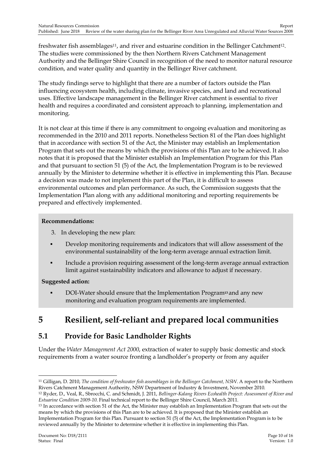freshwater fish assemblages<sup>11</sup>, and river and estuarine condition in the Bellinger Catchment<sup>12</sup>. The studies were commissioned by the then Northern Rivers Catchment Management Authority and the Bellinger Shire Council in recognition of the need to monitor natural resource condition, and water quality and quantity in the Bellinger River catchment.

The study findings serve to highlight that there are a number of factors outside the Plan influencing ecosystem health, including climate, invasive species, and land and recreational uses. Effective landscape management in the Bellinger River catchment is essential to river health and requires a coordinated and consistent approach to planning, implementation and monitoring.

It is not clear at this time if there is any commitment to ongoing evaluation and monitoring as recommended in the 2010 and 2011 reports. Nonetheless Section 81 of the Plan does highlight that in accordance with section 51 of the Act, the Minister may establish an Implementation Program that sets out the means by which the provisions of this Plan are to be achieved. It also notes that it is proposed that the Minister establish an Implementation Program for this Plan and that pursuant to section 51 (5) of the Act, the Implementation Program is to be reviewed annually by the Minister to determine whether it is effective in implementing this Plan. Because a decision was made to not implement this part of the Plan, it is difficult to assess environmental outcomes and plan performance. As such, the Commission suggests that the Implementation Plan along with any additional monitoring and reporting requirements be prepared and effectively implemented.

#### **Recommendations:**

- 3. In developing the new plan:
- Develop monitoring requirements and indicators that will allow assessment of the environmental sustainability of the long-term average annual extraction limit.
- Include a provision requiring assessment of the long-term average annual extraction limit against sustainability indicators and allowance to adjust if necessary.

#### **Suggested action:**

 DOI-Water should ensure that the Implementation Program**<sup>13</sup>** and any new monitoring and evaluation program requirements are implemented.

# <span id="page-12-0"></span>**5 Resilient, self-reliant and prepared local communities**

## <span id="page-12-1"></span>**5.1 Provide for Basic Landholder Rights**

Under the *Water Management Act 2000*, extraction of water to supply basic domestic and stock requirements from a water source fronting a landholder's property or from any aquifer

<sup>-</sup><sup>11</sup> Gilligan, D. 2010, *The condition of freshwater fish assemblages in the Bellinger Catchment, NSW*. A report to the Northern Rivers Catchment Management Authority, NSW Department of Industry & Investment, November 2010.

<sup>12</sup> Ryder, D., Veal, R., Sbrocchi, C. and Schmidt, J. 2011, *Bellinger-Kalang Rivers Ecohealth Project: Assessment of River and Estuarine Condition 2009-10*. Final technical report to the Bellinger Shire Council, March 2011.

<sup>13</sup> In accordance with section 51 of the Act, the Minister may establish an Implementation Program that sets out the means by which the provisions of this Plan are to be achieved. It is proposed that the Minister establish an Implementation Program for this Plan. Pursuant to section 51 (5) of the Act, the Implementation Program is to be reviewed annually by the Minister to determine whether it is effective in implementing this Plan.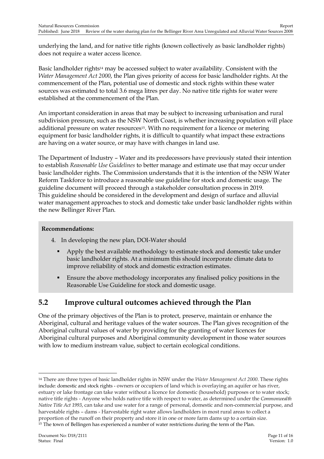underlying the land, and for native title rights (known collectively as basic landholder rights) does not require a water access licence.

Basic landholder rights<sup>14</sup> may be accessed subject to water availability. Consistent with the *Water Management Act 2000*, the Plan gives priority of access for basic landholder rights. At the commencement of the Plan, potential use of domestic and stock rights within these water sources was estimated to total 3.6 mega litres per day. No native title rights for water were established at the commencement of the Plan.

An important consideration in areas that may be subject to increasing urbanisation and rural subdivision pressure, such as the NSW North Coast, is whether increasing population will place additional pressure on water resources15. With no requirement for a licence or metering equipment for basic landholder rights, it is difficult to quantify what impact these extractions are having on a water source, or may have with changes in land use.

The Department of Industry – Water and its predecessors have previously stated their intention to establish *Reasonable Use Guidelines* to better manage and estimate use that may occur under basic landholder rights. The Commission understands that it is the intention of the NSW Water Reform Taskforce to introduce a reasonable use guideline for stock and domestic usage. The guideline document will proceed through a stakeholder consultation process in 2019. This guideline should be considered in the development and design of surface and alluvial water management approaches to stock and domestic take under basic landholder rights within the new Bellinger River Plan.

#### **Recommendations:**

- 4. In developing the new plan, DOI-Water should
	- Apply the best available methodology to estimate stock and domestic take under basic landholder rights. At a minimum this should incorporate climate data to improve reliability of stock and domestic extraction estimates.
	- Ensure the above methodology incorporates any finalised policy positions in the Reasonable Use Guideline for stock and domestic usage.

### <span id="page-13-0"></span>**5.2 Improve cultural outcomes achieved through the Plan**

One of the primary objectives of the Plan is to protect, preserve, maintain or enhance the Aboriginal, cultural and heritage values of the water sources. The Plan gives recognition of the Aboriginal cultural values of water by providing for the granting of water licences for Aboriginal cultural purposes and Aboriginal community development in those water sources with low to medium instream value, subject to certain ecological conditions.

<sup>14</sup> There are three types of basic landholder rights in NSW under the *Water Management Act 2000*. These rights include: domestic and stock rights - owners or occupiers of land which is overlaying an aquifer or has river, estuary or lake frontage can take water without a licence for domestic (household) purposes or to water stock; native title rights - Anyone who holds native title with respect to water, as determined under the *Commonwealth Native Title Act 1993*, can take and use water for a range of personal, domestic and non-commercial purpose, and harvestable rights – dams - Harvestable right water allows landholders in most rural areas to collect a proportion of the runoff on their property and store it in one or more farm dams up to a certain size. <sup>15</sup> The town of Bellingen has experienced a number of water restrictions during the term of the Plan.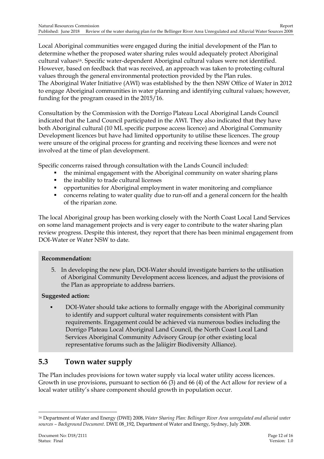Local Aboriginal communities were engaged during the initial development of the Plan to determine whether the proposed water sharing rules would adequately protect Aboriginal cultural values16. Specific water-dependent Aboriginal cultural values were not identified. However, based on feedback that was received, an approach was taken to protecting cultural values through the general environmental protection provided by the Plan rules. The Aboriginal Water Initiative (AWI) was established by the then NSW Office of Water in 2012 to engage Aboriginal communities in water planning and identifying cultural values; however, funding for the program ceased in the 2015/16.

Consultation by the Commission with the Dorrigo Plateau Local Aboriginal Lands Council indicated that the Land Council participated in the AWI. They also indicated that they have both Aboriginal cultural (10 ML specific purpose access licence) and Aboriginal Community Development licences but have had limited opportunity to utilise these licences. The group were unsure of the original process for granting and receiving these licences and were not involved at the time of plan development.

Specific concerns raised through consultation with the Lands Council included:

- the minimal engagement with the Aboriginal community on water sharing plans
- the inability to trade cultural licenses
- opportunities for Aboriginal employment in water monitoring and compliance
- concerns relating to water quality due to run-off and a general concern for the health of the riparian zone.

The local Aboriginal group has been working closely with the North Coast Local Land Services on some land management projects and is very eager to contribute to the water sharing plan review progress. Despite this interest, they report that there has been minimal engagement from DOI-Water or Water NSW to date.

#### **Recommendation:**

5. In developing the new plan, DOI-Water should investigate barriers to the utilisation of Aboriginal Community Development access licences, and adjust the provisions of the Plan as appropriate to address barriers.

#### **Suggested action:**

 DOI-Water should take actions to formally engage with the Aboriginal community to identify and support cultural water requirements consistent with Plan requirements. Engagement could be achieved via numerous bodies including the Dorrigo Plateau Local Aboriginal Land Council, the North Coast Local Land Services Aboriginal Community Advisory Group (or other existing local representative forums such as the Jaliigirr Biodiversity Alliance).

### <span id="page-14-0"></span>**5.3 Town water supply**

The Plan includes provisions for town water supply via local water utility access licences. Growth in use provisions, pursuant to section 66 (3) and 66 (4) of the Act allow for review of a local water utility's share component should growth in population occur.

<sup>-</sup><sup>16</sup> Department of Water and Energy (DWE) 2008, *Water Sharing Plan: Bellinger River Area unregulated and alluvial water sources – Background Document*. DWE 08\_192, Department of Water and Energy, Sydney, July 2008.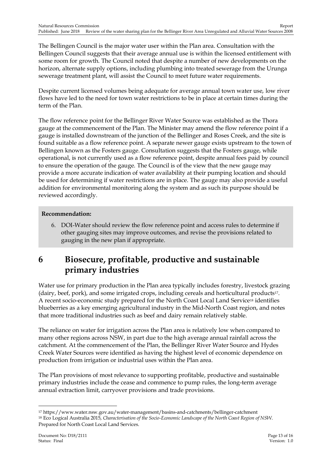The Bellingen Council is the major water user within the Plan area. Consultation with the Bellingen Council suggests that their average annual use is within the licensed entitlement with some room for growth. The Council noted that despite a number of new developments on the horizon, alternate supply options, including plumbing into treated sewerage from the Urunga sewerage treatment plant, will assist the Council to meet future water requirements.

Despite current licensed volumes being adequate for average annual town water use, low river flows have led to the need for town water restrictions to be in place at certain times during the term of the Plan.

The flow reference point for the Bellinger River Water Source was established as the Thora gauge at the commencement of the Plan. The Minister may amend the flow reference point if a gauge is installed downstream of the junction of the Bellinger and Roses Creek, and the site is found suitable as a flow reference point. A separate newer gauge exists upstream to the town of Bellingen known as the Fosters gauge. Consultation suggests that the Fosters gauge, while operational, is not currently used as a flow reference point, despite annual fees paid by council to ensure the operation of the gauge. The Council is of the view that the new gauge may provide a more accurate indication of water availability at their pumping location and should be used for determining if water restrictions are in place. The gauge may also provide a useful addition for environmental monitoring along the system and as such its purpose should be reviewed accordingly.

#### **Recommendation:**

6. DOI-Water should review the flow reference point and access rules to determine if other gauging sites may improve outcomes, and revise the provisions related to gauging in the new plan if appropriate.

## <span id="page-15-0"></span>**6 Biosecure, profitable, productive and sustainable primary industries**

Water use for primary production in the Plan area typically includes forestry, livestock grazing (dairy, beef, pork), and some irrigated crops, including cereals and horticultural products17. A recent socio-economic study prepared for the North Coast Local Land Service<sup>18</sup> identifies blueberries as a key emerging agricultural industry in the Mid-North Coast region, and notes that more traditional industries such as beef and dairy remain relatively stable.

The reliance on water for irrigation across the Plan area is relatively low when compared to many other regions across NSW, in part due to the high average annual rainfall across the catchment. At the commencement of the Plan, the Bellinger River Water Source and Hydes Creek Water Sources were identified as having the highest level of economic dependence on production from irrigation or industrial uses within the Plan area.

The Plan provisions of most relevance to supporting profitable, productive and sustainable primary industries include the cease and commence to pump rules, the long-term average annual extraction limit, carryover provisions and trade provisions.

<sup>17</sup> https://www.water.nsw.gov.au/water-management/basins-and-catchments/bellinger-catchment <sup>18</sup> Eco Logical Australia 2015, *Characterisation of the Socio-Economic Landscape of the North Coast Region of NSW*. Prepared for North Coast Local Land Services.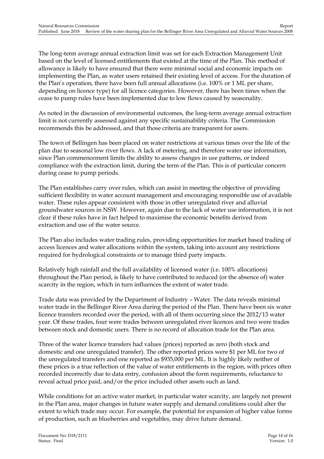The long-term average annual extraction limit was set for each Extraction Management Unit based on the level of licensed entitlements that existed at the time of the Plan. This method of allowance is likely to have ensured that there were minimal social and economic impacts on implementing the Plan, as water users retained their existing level of access. For the duration of the Plan's operation, there have been full annual allocations (i.e. 100% or 1 ML per share, depending on licence type) for all licence categories. However, there has been times when the cease to pump rules have been implemented due to low flows caused by seasonality.

As noted in the discussion of environmental outcomes, the long-term average annual extraction limit is not currently assessed against any specific sustainability criteria. The Commission recommends this be addressed, and that those criteria are transparent for users.

The town of Bellingen has been placed on water restrictions at various times over the life of the plan due to seasonal low river flows. A lack of metering, and therefore water use information, since Plan commencement limits the ability to assess changes in use patterns, or indeed compliance with the extraction limit, during the term of the Plan. This is of particular concern during cease to pump periods.

The Plan establishes carry over rules, which can assist in meeting the objective of providing sufficient flexibility in water account management and encouraging responsible use of available water. These rules appear consistent with those in other unregulated river and alluvial groundwater sources in NSW. However, again due to the lack of water use information, it is not clear if these rules have in fact helped to maximise the economic benefits derived from extraction and use of the water source.

The Plan also includes water trading rules, providing opportunities for market based trading of access licences and water allocations within the system, taking into account any restrictions required for hydrological constraints or to manage third party impacts.

Relatively high rainfall and the full availability of licensed water (i.e. 100% allocations) throughout the Plan period, is likely to have contributed to reduced (or the absence of) water scarcity in the region, which in turn influences the extent of water trade.

Trade data was provided by the Department of Industry – Water. The data reveals minimal water trade in the Bellinger River Area during the period of the Plan. There have been six water licence transfers recorded over the period, with all of them occurring since the 2012/13 water year. Of these trades, four were trades between unregulated river licences and two were trades between stock and domestic users. There is no record of allocation trade for the Plan area.

Three of the water licence transfers had values (prices) reported as zero (both stock and domestic and one unregulated transfer). The other reported prices were \$1 per ML for two of the unregulated transfers and one reported as \$935,000 per ML. It is highly likely neither of these prices is a true reflection of the value of water entitlements in the region, with prices often recorded incorrectly due to data entry, confusion about the form requirements, reluctance to reveal actual price paid, and/or the price included other assets such as land.

While conditions for an active water market, in particular water scarcity, are largely not present in the Plan area, major changes in future water supply and demand conditions could alter the extent to which trade may occur. For example, the potential for expansion of higher value forms of production, such as blueberries and vegetables, may drive future demand.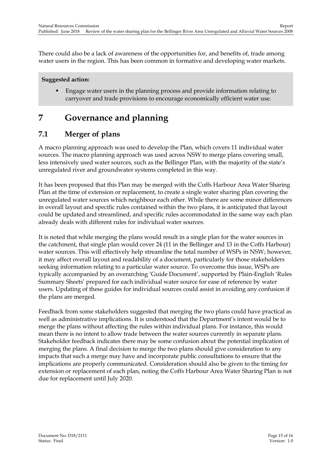There could also be a lack of awareness of the opportunities for, and benefits of, trade among water users in the region. This has been common in formative and developing water markets.

#### **Suggested action:**

 Engage water users in the planning process and provide information relating to carryover and trade provisions to encourage economically efficient water use.

## <span id="page-17-0"></span>**7 Governance and planning**

### <span id="page-17-1"></span>**7.1 Merger of plans**

A macro planning approach was used to develop the Plan, which covers 11 individual water sources. The macro planning approach was used across NSW to merge plans covering small, less intensively used water sources, such as the Bellinger Plan, with the majority of the state's unregulated river and groundwater systems completed in this way.

It has been proposed that this Plan may be merged with the Coffs Harbour Area Water Sharing Plan at the time of extension or replacement, to create a single water sharing plan covering the unregulated water sources which neighbour each other. While there are some minor differences in overall layout and specific rules contained within the two plans, it is anticipated that layout could be updated and streamlined, and specific rules accommodated in the same way each plan already deals with different rules for individual water sources.

It is noted that while merging the plans would result in a single plan for the water sources in the catchment, that single plan would cover 24 (11 in the Bellinger and 13 in the Coffs Harbour) water sources. This will effectively help streamline the total number of WSPs in NSW; however, it may affect overall layout and readability of a document, particularly for those stakeholders seeking information relating to a particular water source. To overcome this issue, WSPs are typically accompanied by an overarching 'Guide Document', supported by Plain-English 'Rules Summary Sheets' prepared for each individual water source for ease of reference by water users. Updating of these guides for individual sources could assist in avoiding any confusion if the plans are merged.

Feedback from some stakeholders suggested that merging the two plans could have practical as well as administrative implications. It is understood that the Department's intent would be to merge the plans without affecting the rules within individual plans. For instance, this would mean there is no intent to allow trade between the water sources currently in separate plans. Stakeholder feedback indicates there may be some confusion about the potential implication of merging the plans. A final decision to merge the two plans should give consideration to any impacts that such a merge may have and incorporate public consultations to ensure that the implications are properly communicated. Consideration should also be given to the timing for extension or replacement of each plan, noting the Coffs Harbour Area Water Sharing Plan is not due for replacement until July 2020.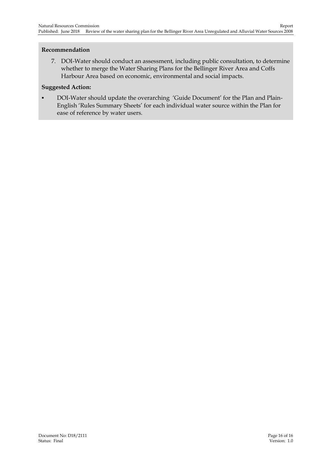#### **Recommendation**

7. DOI-Water should conduct an assessment, including public consultation, to determine whether to merge the Water Sharing Plans for the Bellinger River Area and Coffs Harbour Area based on economic, environmental and social impacts.

#### **Suggested Action:**

**DOI-Water should update the overarching 'Guide Document' for the Plan and Plain-**English 'Rules Summary Sheets' for each individual water source within the Plan for ease of reference by water users.